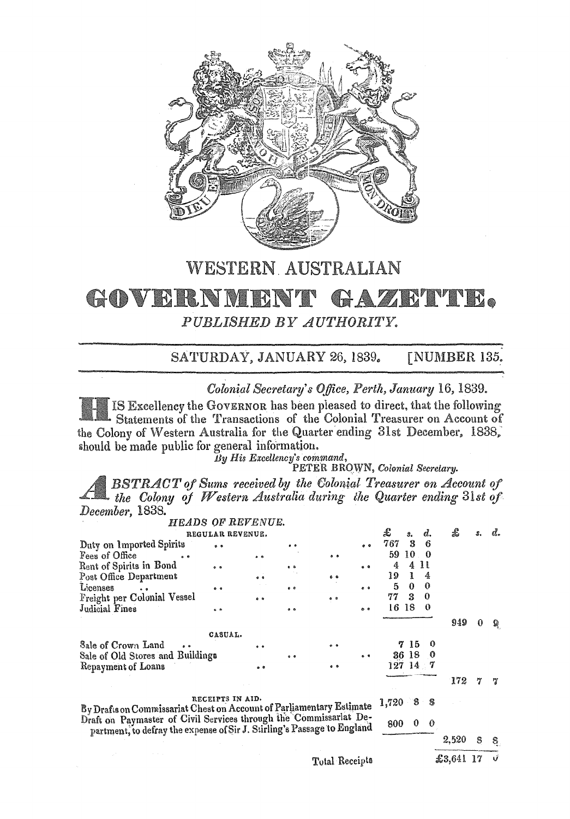

**WESTERN AUSTRALIAN** 

## GOVERNMENT GAZETTE.

PUBLISHED BY AUTHORITY.

SATURDAY, JANUARY 26, 1839. **[NUMBER 135.** 

Colonial Secretary's Office, Perth, January 16, 1839.

IS Excellency the GOVERNOR has been pleased to direct, that the following Statements of the Transactions of the Colonial Treasurer on Account of the Colony of Western Australia for the Quarter ending 31st December, 1838, should be made public for general information.

Board Marshall Command,<br>By His Excellency's command,<br>PETER BROWN, Colonial Secretary.

**BSTRACT** of Sums received by the Colonial Treasurer on Account of the Colony of Western Australia during the Quarter ending 31st of December, 1838.

|                                                                                                                                              |                  | HEADS OF REVENUE. |            |                |            |       |                  |             |           |     |    |
|----------------------------------------------------------------------------------------------------------------------------------------------|------------------|-------------------|------------|----------------|------------|-------|------------------|-------------|-----------|-----|----|
| REGULAR REVENUE.                                                                                                                             |                  |                   |            |                |            |       | $\mathbf{3}_{1}$ | d.          | £         | \$. | ď. |
| Duty on Imported Spirits                                                                                                                     | $^{\circ}$       |                   |            |                |            | 767   | 3                | 6           |           |     |    |
| Fees of Office<br>$\bullet$                                                                                                                  |                  | $^{\circ}$        |            | $^{\circ}$     |            | 59    | 10               | $\Omega$    |           |     |    |
| Rent of Spirits in Bond                                                                                                                      |                  |                   | $^{\circ}$ |                | $^{\circ}$ | 4     | 4                | 11          |           |     |    |
| Post Office Department                                                                                                                       |                  | $^{\circ}$        |            | 60             |            | 19    | L                | 4           |           |     |    |
| Licenses                                                                                                                                     | $^{\circ}$       |                   | $^{\circ}$ |                | ه ه        | 5     | $\Omega$         | $\mathbf 0$ |           |     |    |
| Freight per Colonial Vessel                                                                                                                  |                  |                   |            | $0 - 3$        |            | 77    | 3                | 0           |           |     |    |
| Judicial Fines                                                                                                                               | $^{\circ}$       |                   | $^{\circ}$ |                | ه ه        | 16    | -18              | 0           |           |     |    |
|                                                                                                                                              |                  |                   |            |                |            |       |                  |             | 949       | 0   | ু  |
|                                                                                                                                              | CASUAL.          |                   |            |                |            |       |                  |             |           |     |    |
| Sale of Crown Land                                                                                                                           |                  | $^{\circ}$        |            | 0.9            |            |       | 15               | 0           |           |     |    |
| Sale of Old Stores and Buildings                                                                                                             |                  |                   | $^{\circ}$ |                | . .        |       | 36 18            | - 0         |           |     |    |
| Repayment of Loans                                                                                                                           |                  |                   |            | $^{\circ}$     |            |       | 127 14 7         |             |           |     |    |
|                                                                                                                                              |                  |                   |            |                |            |       |                  |             | 172       |     | 7  |
| By Drafts on Commissariat Chest on Account of Parliamentary Estimate                                                                         | RECEIPTS IN AID. |                   |            |                |            | 1,720 | 8                | 8           |           |     |    |
| Draft on Paymaster of Civil Services through the Commissarlat De-<br>partment, to defray the expense of Sir J. Stirling's Passage to England |                  |                   |            |                |            | 800   | $\bf{0}$         | $\theta$    |           |     |    |
|                                                                                                                                              |                  |                   |            |                |            |       |                  |             | 2,520     | 8   | 8  |
|                                                                                                                                              |                  |                   |            | Total Receipts |            |       |                  |             | £3,641 17 |     | Ú  |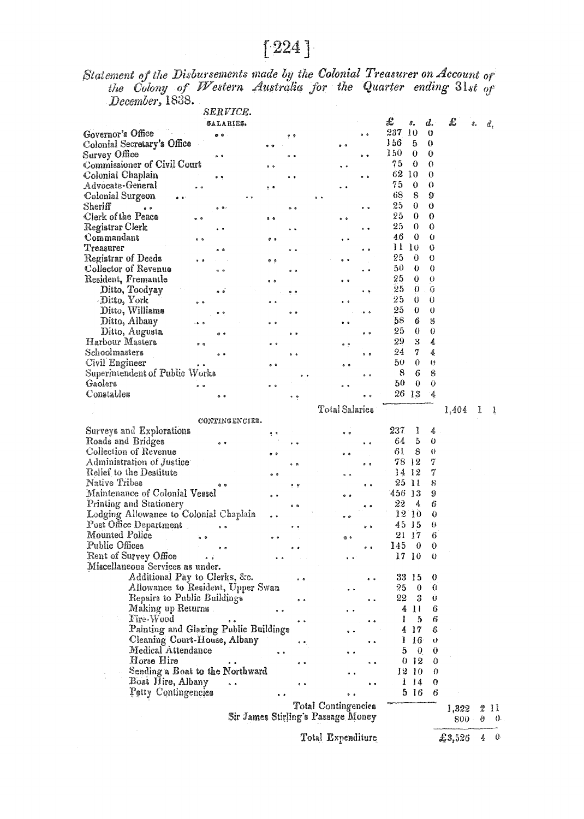## $[224]$

Statement of the Disbursements made by the Colonial Treasurer on Account of the Colony of Western Australia for the Quarter ending  $31st$  of December, 1838.

|                                        | SERVICE.            |                                    |            |                     |            |       |                |    |         |    |          |
|----------------------------------------|---------------------|------------------------------------|------------|---------------------|------------|-------|----------------|----|---------|----|----------|
|                                        | SALARIES.           |                                    |            |                     |            | £     | s.             | d. | £       | â, | d.       |
| Governor's Office                      | o o                 |                                    | . .        |                     |            | 237   | 10             | 0  |         |    |          |
| Colonial Secretary's Office            |                     |                                    |            |                     |            | 156   | 5              | 0  |         |    |          |
| Survey Office                          |                     |                                    |            |                     |            | 150   | 0              | 0  |         |    |          |
| Commissioner of Civil Court            |                     |                                    |            |                     |            | 75    | 0              | 0  |         |    |          |
| Colonial Chaplain                      |                     |                                    |            |                     | . .        | 62    | -10            | 0  |         |    |          |
| Advocate-General                       |                     |                                    |            |                     |            | 75    | 0              | 0  |         |    |          |
| Colonial Surgeon                       |                     |                                    |            |                     |            | 68    | 8              | 9  |         |    |          |
| ${\rm Sheriff}$<br>$\bullet$ $\bullet$ |                     |                                    |            |                     |            | 25    | 0              | O  |         |    |          |
| Clerk of the Peace                     |                     | $^{\circ}$                         |            |                     |            | 25    | 0              | 0  |         |    |          |
| Registrar Clerk                        |                     |                                    |            |                     |            | 25    | 0              | 0  |         |    |          |
| Commandant                             | $\bullet$ $\bullet$ | $^{\circ}$                         |            |                     |            | 46    | 0              | 0  |         |    |          |
| Treasurer                              |                     |                                    |            |                     |            | 11    | 10             | 0  |         |    |          |
| Registrar of Deeds                     |                     | ه ه                                |            |                     |            | 25    | 0              | 0  |         |    |          |
| Collector of Revenue                   | $^{\circ}$          |                                    | ه ه        |                     | . .        | 50    | 0              | 0  |         |    |          |
| Resident, Fremantle                    |                     |                                    |            |                     |            | 25    | 0              | 0  |         |    |          |
| Ditto, Toodyay                         | $^{\circ}$          |                                    | و و        |                     |            | 25    | 0              | 0  |         |    |          |
| Ditto, York                            |                     |                                    |            |                     |            | 25    | 0              | 0  |         |    |          |
| Ditto, Williams                        |                     |                                    |            |                     |            | 25    | 0              | 0  |         |    |          |
| Ditto, Albany                          |                     | $\bullet$ $\bullet$                |            |                     |            | 58    | 6              | 8  |         |    |          |
| Ditto, Augusta                         | e e                 |                                    |            |                     | $^{\circ}$ | 25    | 0              | 0  |         |    |          |
| Harbour Masters                        |                     |                                    |            | $^{\circ}$          |            | 29    | 3              | 4  |         |    |          |
| Schoolmasters                          |                     |                                    |            |                     |            | 24    | 7              | 姜  |         |    |          |
| Civil Engineer                         |                     |                                    |            |                     |            | 50    | 0              | ⇔  |         |    |          |
| Superintendent of Public Works         |                     |                                    |            |                     |            | 8     | 6              | 8  |         |    |          |
| Gaolers                                | e v                 |                                    |            |                     |            | 50    | $\theta$       | 0  |         |    |          |
| Constables                             |                     |                                    |            |                     |            | 26 13 |                | -4 |         |    |          |
|                                        |                     |                                    |            |                     |            |       |                |    |         |    |          |
|                                        |                     |                                    |            | Total Salaries      |            |       |                |    | 1,404   | ı  | ı        |
|                                        | CONTINGENCIES.      |                                    |            |                     |            |       |                |    |         |    |          |
| Surveys and Explorations               |                     | 4 P                                |            |                     |            | 237   | I              | 4  |         |    |          |
| Roads and Bridges                      |                     |                                    |            |                     |            | 64    | 5              | 0  |         |    |          |
| Collection of Revenue                  |                     | $\bullet$ $\bullet$                |            |                     |            | 61    | 8              | 0  |         |    |          |
| Administration of Justice              |                     |                                    |            |                     | a a        | 78    | 12             | 7  |         |    |          |
| Relief to the Destitute                |                     | o a                                |            |                     |            | 14    | -12            | 7  |         |    |          |
| Native Tribes                          |                     |                                    | 电电         |                     |            | 25    | $\mathbf{u}$   | 8  |         |    |          |
| Maintenance of Colonial Vessel         |                     | $^{\circ}$                         |            |                     |            | 456   | -13            | 9  |         |    |          |
| Printing and Stationery                |                     |                                    | $^{\circ}$ |                     |            | 22    | 4              | 6  |         |    |          |
| Lodging Allewance to Colonial Chaplain |                     | $^{\circ}$                         |            |                     |            | 12    | 10             | 0  |         |    |          |
| Post Office Department.                |                     |                                    |            |                     |            | 45    | J 5            | 0  |         |    |          |
| Mounted Police                         |                     |                                    |            |                     |            | 21    | $\frac{17}{2}$ | 6  |         |    |          |
| Public Offices                         | $\bullet$           |                                    |            |                     |            | 145   | $\bf{0}$       | 0  |         |    |          |
| Rent of Survey Office                  |                     |                                    |            |                     |            | 17    | 10             | 0  |         |    |          |
| Miscellaneous Services as under.       |                     |                                    |            |                     |            |       |                |    |         |    |          |
| Additional Pay to Clerks, &c.          |                     |                                    |            |                     |            | 33    | -15            | 0  |         |    |          |
| Allowance to Resident, Upper Swan      |                     |                                    |            |                     |            | 25    | 0              | O  |         |    |          |
| Repairs to Public Buildings            |                     |                                    |            |                     |            | 22    | 3              | Ü  |         |    |          |
| Making up Returns.                     |                     |                                    |            |                     |            | 4     | Ħ              | 6  |         |    |          |
| Fire-Wood                              |                     |                                    |            |                     |            |       | 5              | 6  |         |    |          |
| Painting and Glazing Public Buildings  |                     |                                    |            |                     |            | 4     | -17            | 6  |         |    |          |
| Cleaning Court-House, Albany           |                     |                                    |            |                     |            | I     | 16             | v  |         |    |          |
| Medical Attendance                     |                     |                                    |            |                     |            | 5     | 0.             | 0  |         |    |          |
| Horse Hire                             |                     |                                    |            |                     |            | 0.    | -12            | 0  |         |    |          |
| Sending a Boat to the Northward        |                     |                                    |            |                     |            |       | 12 10          | 0  |         |    |          |
| Boat Hire, Albany                      |                     |                                    |            |                     |            | 1     | 14             | 0  |         |    |          |
| Petty Contingencies                    |                     |                                    |            |                     |            | 5     | -16            | 6  |         |    |          |
|                                        |                     |                                    |            | Total Contingencies |            |       |                |    |         |    |          |
|                                        |                     |                                    |            |                     |            |       |                |    | 1,322   | 2  | Ħ        |
|                                        |                     | Sir James Stirling's Parsage Money |            |                     |            |       |                |    | $800 -$ | θ  | $\theta$ |
|                                        |                     |                                    |            | Total Expenditure   |            |       |                |    | 2,3,526 | 4  | 0        |
|                                        |                     |                                    |            |                     |            |       |                |    |         |    |          |